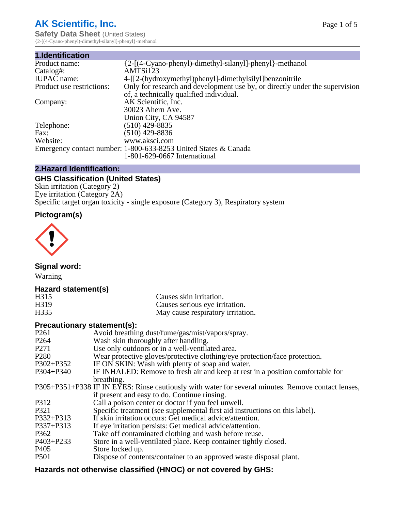# **AK Scientific, Inc.**

**Safety Data Sheet (United States)** {2-[(4-Cyano-phenyl)-dimethyl-silanyl]-phenyl}-methanol

| 1.Identification          |                                                                             |
|---------------------------|-----------------------------------------------------------------------------|
| Product name:             | {2-[(4-Cyano-phenyl)-dimethyl-silanyl]-phenyl}-methanol                     |
| Catalog#:                 | AMTSi123                                                                    |
| <b>IUPAC</b> name:        | 4-[[2-(hydroxymethyl)phenyl]-dimethylsilyl]benzonitrile                     |
| Product use restrictions: | Only for research and development use by, or directly under the supervision |
|                           | of, a technically qualified individual.                                     |
| Company:                  | AK Scientific, Inc.                                                         |
|                           | 30023 Ahern Ave.                                                            |
|                           | Union City, CA 94587                                                        |
| Telephone:                | $(510)$ 429-8835                                                            |
| Fax:                      | $(510)$ 429-8836                                                            |
| Website:                  | www.aksci.com                                                               |
|                           | Emergency contact number: 1-800-633-8253 United States & Canada             |
|                           | 1-801-629-0667 International                                                |

# **2.Hazard Identification:**

# **GHS Classification (United States)**

Skin irritation (Category 2) Eye irritation (Category 2A) Specific target organ toxicity - single exposure (Category 3), Respiratory system

# **Pictogram(s)**



**Signal word:**

Warning

# **Hazard statement(s)**

| H <sub>315</sub>  | Causes skin irritation.           |
|-------------------|-----------------------------------|
| H <sub>3</sub> 19 | Causes serious eye irritation.    |
| H335              | May cause respiratory irritation. |

# **Precautionary statement(s):**

| P <sub>261</sub> | Avoid breathing dust/fume/gas/mist/vapors/spray.                                                   |
|------------------|----------------------------------------------------------------------------------------------------|
| P <sub>264</sub> | Wash skin thoroughly after handling.                                                               |
| P <sub>271</sub> | Use only outdoors or in a well-ventilated area.                                                    |
| P <sub>280</sub> | Wear protective gloves/protective clothing/eye protection/face protection.                         |
| P302+P352        | IF ON SKIN: Wash with plenty of soap and water.                                                    |
| $P304 + P340$    | IF INHALED: Remove to fresh air and keep at rest in a position comfortable for                     |
|                  | breathing.                                                                                         |
|                  | P305+P351+P338 IF IN EYES: Rinse cautiously with water for several minutes. Remove contact lenses, |
|                  | if present and easy to do. Continue rinsing.                                                       |
| P312             | Call a poison center or doctor if you feel unwell.                                                 |
| P321             | Specific treatment (see supplemental first aid instructions on this label).                        |
| P332+P313        | If skin irritation occurs: Get medical advice/attention.                                           |
| P337+P313        | If eye irritation persists: Get medical advice/attention.                                          |
| P362             | Take off contaminated clothing and wash before reuse.                                              |
| $P403 + P233$    | Store in a well-ventilated place. Keep container tightly closed.                                   |
| P <sub>405</sub> | Store locked up.                                                                                   |
| P <sub>501</sub> | Dispose of contents/container to an approved waste disposal plant.                                 |
|                  |                                                                                                    |

# **Hazards not otherwise classified (HNOC) or not covered by GHS:**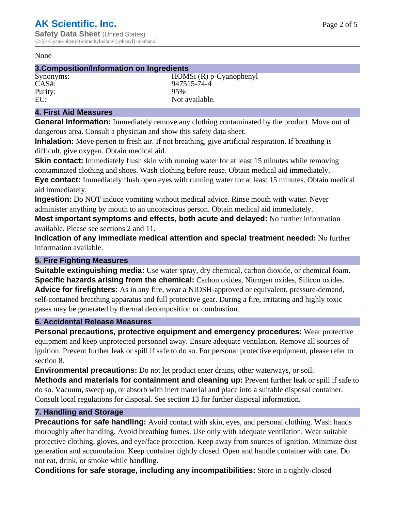#### None

## **3.Composition/Information on Ingredients**

Purity:<br>EC:

Synonyms: HOMSi (R) p-Cyanophenyl CAS#: 947515-74-4<br>Purity: 95% Not available.

## **4. First Aid Measures**

**General Information:** Immediately remove any clothing contaminated by the product. Move out of dangerous area. Consult a physician and show this safety data sheet.

**Inhalation:** Move person to fresh air. If not breathing, give artificial respiration. If breathing is difficult, give oxygen. Obtain medical aid.

**Skin contact:** Immediately flush skin with running water for at least 15 minutes while removing contaminated clothing and shoes. Wash clothing before reuse. Obtain medical aid immediately. **Eye contact:** Immediately flush open eyes with running water for at least 15 minutes. Obtain medical aid immediately.

**Ingestion:** Do NOT induce vomiting without medical advice. Rinse mouth with water. Never administer anything by mouth to an unconscious person. Obtain medical aid immediately.

**Most important symptoms and effects, both acute and delayed:** No further information available. Please see sections 2 and 11.

**Indication of any immediate medical attention and special treatment needed:** No further information available.

# **5. Fire Fighting Measures**

**Suitable extinguishing media:** Use water spray, dry chemical, carbon dioxide, or chemical foam. **Specific hazards arising from the chemical:** Carbon oxides, Nitrogen oxides, Silicon oxides. **Advice for firefighters:** As in any fire, wear a NIOSH-approved or equivalent, pressure-demand, self-contained breathing apparatus and full protective gear. During a fire, irritating and highly toxic gases may be generated by thermal decomposition or combustion.

#### **6. Accidental Release Measures**

**Personal precautions, protective equipment and emergency procedures:** Wear protective equipment and keep unprotected personnel away. Ensure adequate ventilation. Remove all sources of ignition. Prevent further leak or spill if safe to do so. For personal protective equipment, please refer to section 8.

**Environmental precautions:** Do not let product enter drains, other waterways, or soil.

**Methods and materials for containment and cleaning up:** Prevent further leak or spill if safe to do so. Vacuum, sweep up, or absorb with inert material and place into a suitable disposal container. Consult local regulations for disposal. See section 13 for further disposal information.

#### **7. Handling and Storage**

**Precautions for safe handling:** Avoid contact with skin, eyes, and personal clothing. Wash hands thoroughly after handling. Avoid breathing fumes. Use only with adequate ventilation. Wear suitable protective clothing, gloves, and eye/face protection. Keep away from sources of ignition. Minimize dust generation and accumulation. Keep container tightly closed. Open and handle container with care. Do not eat, drink, or smoke while handling.

**Conditions for safe storage, including any incompatibilities:** Store in a tightly-closed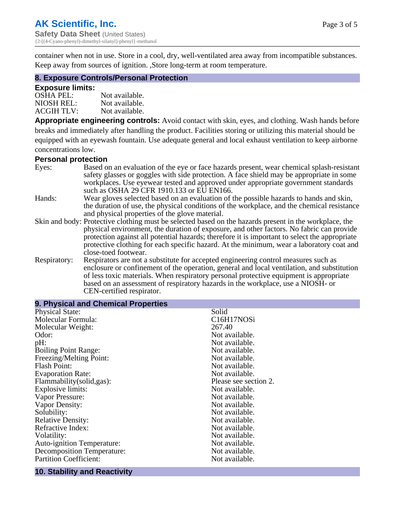container when not in use. Store in a cool, dry, well-ventilated area away from incompatible substances. Keep away from sources of ignition. ,Store long-term at room temperature.

#### **8. Exposure Controls/Personal Protection**

#### **Exposure limits:**

| <b>OSHA PEL:</b>  | Not available. |
|-------------------|----------------|
| NIOSH REL:        | Not available. |
| <b>ACGIH TLV:</b> | Not available. |

**Appropriate engineering controls:** Avoid contact with skin, eyes, and clothing. Wash hands before breaks and immediately after handling the product. Facilities storing or utilizing this material should be equipped with an eyewash fountain. Use adequate general and local exhaust ventilation to keep airborne concentrations low.

#### **Personal protection**

| Eyes:        | Based on an evaluation of the eye or face hazards present, wear chemical splash-resistant<br>safety glasses or goggles with side protection. A face shield may be appropriate in some |
|--------------|---------------------------------------------------------------------------------------------------------------------------------------------------------------------------------------|
|              | workplaces. Use eyewear tested and approved under appropriate government standards<br>such as OSHA 29 CFR 1910.133 or EU EN166.                                                       |
| Hands:       | Wear gloves selected based on an evaluation of the possible hazards to hands and skin,                                                                                                |
|              | the duration of use, the physical conditions of the workplace, and the chemical resistance                                                                                            |
|              | and physical properties of the glove material.                                                                                                                                        |
|              | Skin and body: Protective clothing must be selected based on the hazards present in the workplace, the                                                                                |
|              | physical environment, the duration of exposure, and other factors. No fabric can provide                                                                                              |
|              | protection against all potential hazards; therefore it is important to select the appropriate                                                                                         |
|              | protective clothing for each specific hazard. At the minimum, wear a laboratory coat and                                                                                              |
|              | close-toed footwear.                                                                                                                                                                  |
| Respiratory: | Respirators are not a substitute for accepted engineering control measures such as<br>enclosure or confinement of the operation, general and local ventilation, and substitution      |
|              | of less toxic materials. When respiratory personal protective equipment is appropriate                                                                                                |
|              | based on an assessment of respiratory hazards in the workplace, use a NIOSH- or                                                                                                       |
|              | CEN-certified respirator.                                                                                                                                                             |

| 9. Physical and Chemical Properties |                       |
|-------------------------------------|-----------------------|
| <b>Physical State:</b>              | Solid                 |
| Molecular Formula:                  | C16H17NOSi            |
| Molecular Weight:                   | 267.40                |
| Odor:                               | Not available.        |
| pH:                                 | Not available.        |
| <b>Boiling Point Range:</b>         | Not available.        |
| Freezing/Melting Point:             | Not available.        |
| <b>Flash Point:</b>                 | Not available.        |
| <b>Evaporation Rate:</b>            | Not available.        |
| Flammability(solid,gas):            | Please see section 2. |
| <b>Explosive limits:</b>            | Not available.        |
| Vapor Pressure:                     | Not available.        |
| Vapor Density:                      | Not available.        |
| Solubility:                         | Not available.        |
| <b>Relative Density:</b>            | Not available.        |
| Refractive Index:                   | Not available.        |
| Volatility:                         | Not available.        |
| <b>Auto-ignition Temperature:</b>   | Not available.        |
| Decomposition Temperature:          | Not available.        |
| <b>Partition Coefficient:</b>       | Not available.        |
|                                     |                       |

# **10. Stability and Reactivity**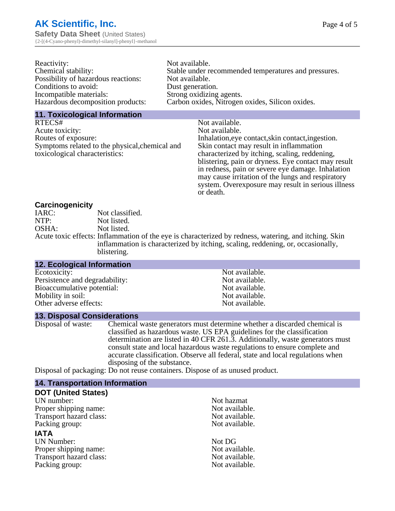| Reactivity:                         | Not available.                                       |
|-------------------------------------|------------------------------------------------------|
| Chemical stability:                 | Stable under recommended temperatures and pressures. |
| Possibility of hazardous reactions: | Not available.                                       |
| Conditions to avoid:                | Dust generation.                                     |
| Incompatible materials:             | Strong oxidizing agents.                             |
| Hazardous decomposition products:   | Carbon oxides, Nitrogen oxides, Silicon oxides.      |

#### **11. Toxicological Information**

| RTECS#                                         | Not available.                                      |
|------------------------------------------------|-----------------------------------------------------|
| Acute toxicity:                                | Not available.                                      |
| Routes of exposure:                            | Inhalation, eye contact, skin contact, ingestion.   |
| Symptoms related to the physical, chemical and | Skin contact may result in inflammation             |
| toxicological characteristics:                 | characterized by itching, scaling, reddening,       |
|                                                | blistering, pain or dryness. Eye contact may result |
|                                                | in redness, pain or severe eye damage. Inhalation   |
|                                                | may cause irritation of the lungs and respiratory   |
|                                                | system. Overexposure may result in serious illness  |

or death.

#### **Carcinogenicity**

| IARC: | Not classified.                                                                                       |
|-------|-------------------------------------------------------------------------------------------------------|
| NTP:  | Not listed.                                                                                           |
| OSHA: | Not listed.                                                                                           |
|       | Acute toxic effects: Inflammation of the eye is characterized by redness, watering, and itching. Skin |
|       | inflammation is characterized by itching, scaling, reddening, or, occasionally,                       |
|       | blistering.                                                                                           |

| <b>12. Ecological Information</b> |                |
|-----------------------------------|----------------|
| Ecotoxicity:                      | Not available. |
| Persistence and degradability:    | Not available. |
| Bioaccumulative potential:        | Not available. |
| Mobility in soil:                 | Not available. |
| Other adverse effects:            | Not available. |

#### **13. Disposal Considerations**

Disposal of waste: Chemical waste generators must determine whether a discarded chemical is classified as hazardous waste. US EPA guidelines for the classification determination are listed in 40 CFR 261.3. Additionally, waste generators must consult state and local hazardous waste regulations to ensure complete and accurate classification. Observe all federal, state and local regulations when disposing of the substance.

Disposal of packaging: Do not reuse containers. Dispose of as unused product.

| <b>14. Transportation Information</b> |                |  |
|---------------------------------------|----------------|--|
| <b>DOT (United States)</b>            |                |  |
| UN number:                            | Not hazmat     |  |
| Proper shipping name:                 | Not available. |  |
| Transport hazard class:               | Not available. |  |
| Packing group:                        | Not available. |  |
| <b>IATA</b>                           |                |  |
| <b>UN Number:</b>                     | Not DG         |  |
| Proper shipping name:                 | Not available. |  |
| Transport hazard class:               | Not available. |  |
| Packing group:                        | Not available. |  |